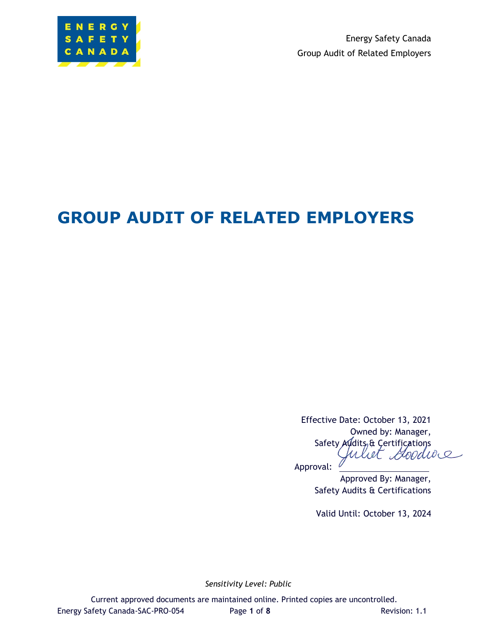

Energy Safety Canada Group Audit of Related Employers

# **GROUP AUDIT OF RELATED EMPLOYERS**

Effective Date: October 13, 2021 Owned by: Manager, Safety Aldits & Certifications<br>Juliet *Bood* 

Approval:

Approved By: Manager, Safety Audits & Certifications

Valid Until: October 13, 2024

*Sensitivity Level: Public*

Current approved documents are maintained online. Printed copies are uncontrolled. Energy Safety Canada-SAC-PRO-054 Page **1** of **8** Revision: 1.1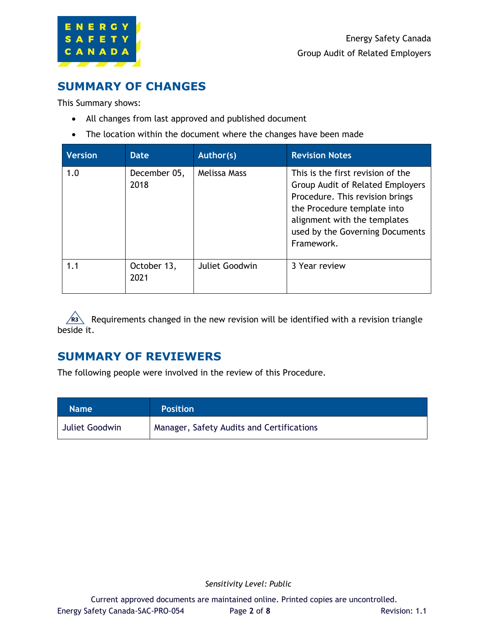

### **SUMMARY OF CHANGES**

This Summary shows:

- All changes from last approved and published document
- The location within the document where the changes have been made

| <b>Version</b> | <b>Date</b>          | Author(s)      | <b>Revision Notes</b>                                                                                                                                                                                                    |
|----------------|----------------------|----------------|--------------------------------------------------------------------------------------------------------------------------------------------------------------------------------------------------------------------------|
| 1.0            | December 05,<br>2018 | Melissa Mass   | This is the first revision of the<br>Group Audit of Related Employers<br>Procedure. This revision brings<br>the Procedure template into<br>alignment with the templates<br>used by the Governing Documents<br>Framework. |
| 1.1            | October 13,<br>2021  | Juliet Goodwin | 3 Year review                                                                                                                                                                                                            |

R<sub>3</sub> Requirements changed in the new revision will be identified with a revision triangle beside it.

### **SUMMARY OF REVIEWERS**

The following people were involved in the review of this Procedure.

| <b>Name</b>    | <b>Position</b>                           |
|----------------|-------------------------------------------|
| Juliet Goodwin | Manager, Safety Audits and Certifications |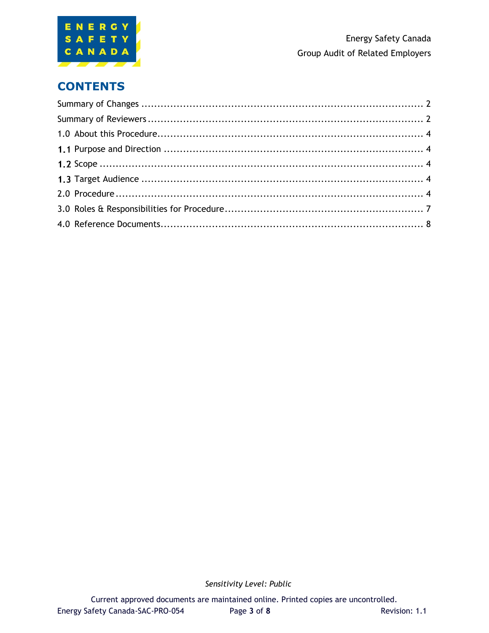

# **CONTENTS**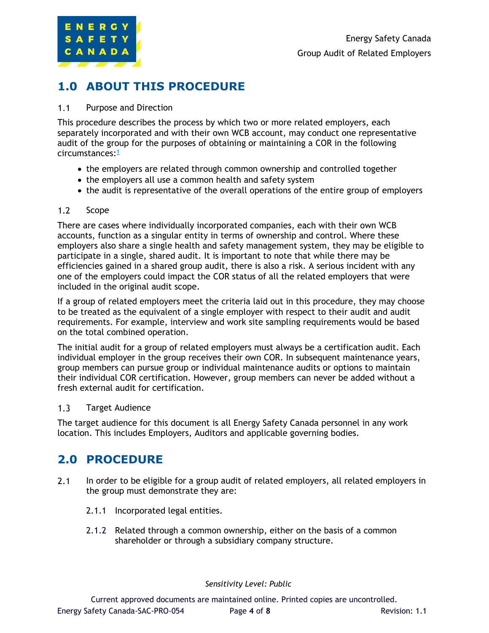

# **1.0 ABOUT THIS PROCEDURE**

#### $1.1$ Purpose and Direction

This procedure describes the process by which two or more related employers, each separately incorporated and with their own WCB account, may conduct one representative audit of the group for the purposes of obtaining or maintaining a COR in the following circumstances:<sup>1</sup>

- the employers are related through common ownership and controlled together
- the employers all use a common health and safety system
- the audit is representative of the overall operations of the entire group of employers

#### $1.2<sub>1</sub>$ Scope

There are cases where individually incorporated companies, each with their own WCB accounts, function as a singular entity in terms of ownership and control. Where these employers also share a single health and safety management system, they may be eligible to participate in a single, shared audit. It is important to note that while there may be efficiencies gained in a shared group audit, there is also a risk. A serious incident with any one of the employers could impact the COR status of all the related employers that were included in the original audit scope.

If a group of related employers meet the criteria laid out in this procedure, they may choose to be treated as the equivalent of a single employer with respect to their audit and audit requirements. For example, interview and work site sampling requirements would be based on the total combined operation.

The initial audit for a group of related employers must always be a certification audit. Each individual employer in the group receives their own COR. In subsequent maintenance years, group members can pursue group or individual maintenance audits or options to maintain their individual COR certification. However, group members can never be added without a fresh external audit for certification.

#### $1.3$ Target Audience

The target audience for this document is all Energy Safety Canada personnel in any work location. This includes Employers, Auditors and applicable governing bodies.

### **2.0 PROCEDURE**

- $2.1$ In order to be eligible for a group audit of related employers, all related employers in the group must demonstrate they are:
	- 2.1.1 Incorporated legal entities.
	- 2.1.2 Related through a common ownership, either on the basis of a common shareholder or through a subsidiary company structure.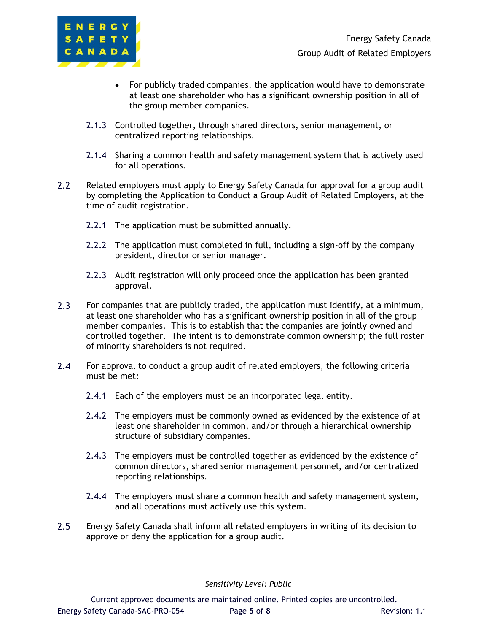

- For publicly traded companies, the application would have to demonstrate at least one shareholder who has a significant ownership position in all of the group member companies.
- 2.1.3 Controlled together, through shared directors, senior management, or centralized reporting relationships.
- 2.1.4 Sharing a common health and safety management system that is actively used for all operations.
- $2.2$ Related employers must apply to Energy Safety Canada for approval for a group audit by completing the Application to Conduct a Group Audit of Related Employers, at the time of audit registration.
	- 2.2.1 The application must be submitted annually.
	- 2.2.2 The application must completed in full, including a sign-off by the company president, director or senior manager.
	- 2.2.3 Audit registration will only proceed once the application has been granted approval.
- $2.3$ For companies that are publicly traded, the application must identify, at a minimum, at least one shareholder who has a significant ownership position in all of the group member companies. This is to establish that the companies are jointly owned and controlled together. The intent is to demonstrate common ownership; the full roster of minority shareholders is not required.
- $2.4$ For approval to conduct a group audit of related employers, the following criteria must be met:
	- 2.4.1 Each of the employers must be an incorporated legal entity.
	- 2.4.2 The employers must be commonly owned as evidenced by the existence of at least one shareholder in common, and/or through a hierarchical ownership structure of subsidiary companies.
	- 2.4.3 The employers must be controlled together as evidenced by the existence of common directors, shared senior management personnel, and/or centralized reporting relationships.
	- 2.4.4 The employers must share a common health and safety management system, and all operations must actively use this system.
- $2.5$ Energy Safety Canada shall inform all related employers in writing of its decision to approve or deny the application for a group audit.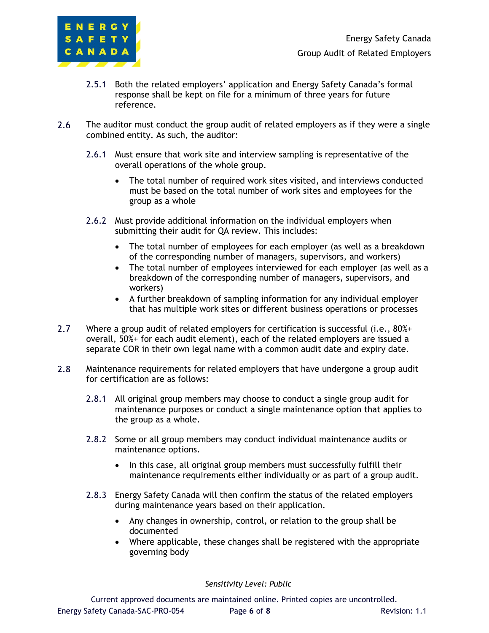

- 2.5.1 Both the related employers' application and Energy Safety Canada's formal response shall be kept on file for a minimum of three years for future reference.
- $2.6$ The auditor must conduct the group audit of related employers as if they were a single combined entity. As such, the auditor:
	- 2.6.1 Must ensure that work site and interview sampling is representative of the overall operations of the whole group.
		- The total number of required work sites visited, and interviews conducted must be based on the total number of work sites and employees for the group as a whole
	- 2.6.2 Must provide additional information on the individual employers when submitting their audit for QA review. This includes:
		- The total number of employees for each employer (as well as a breakdown of the corresponding number of managers, supervisors, and workers)
		- The total number of employees interviewed for each employer (as well as a breakdown of the corresponding number of managers, supervisors, and workers)
		- A further breakdown of sampling information for any individual employer that has multiple work sites or different business operations or processes
- $2.7^{\circ}$ Where a group audit of related employers for certification is successful (i.e., 80%+ overall, 50%+ for each audit element), each of the related employers are issued a separate COR in their own legal name with a common audit date and expiry date.
- $2.8$ Maintenance requirements for related employers that have undergone a group audit for certification are as follows:
	- 2.8.1 All original group members may choose to conduct a single group audit for maintenance purposes or conduct a single maintenance option that applies to the group as a whole.
	- 2.8.2 Some or all group members may conduct individual maintenance audits or maintenance options.
		- In this case, all original group members must successfully fulfill their maintenance requirements either individually or as part of a group audit.
	- 2.8.3 Energy Safety Canada will then confirm the status of the related employers during maintenance years based on their application.
		- Any changes in ownership, control, or relation to the group shall be documented
		- Where applicable, these changes shall be registered with the appropriate governing body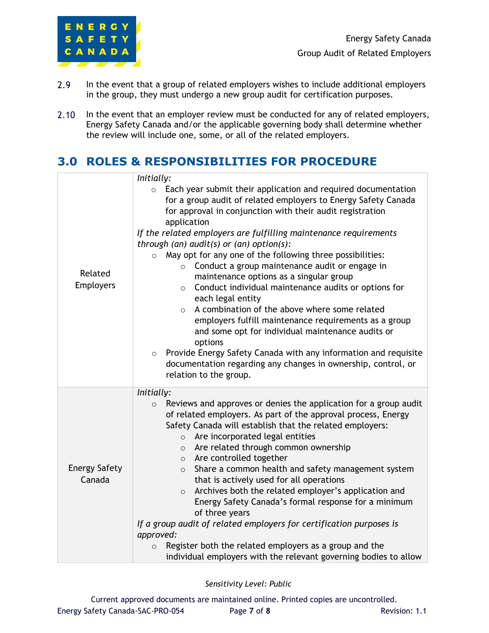

- $2.9$ In the event that a group of related employers wishes to include additional employers in the group, they must undergo a new group audit for certification purposes.
- In the event that an employer review must be conducted for any of related employers,  $2.10$ Energy Safety Canada and/or the applicable governing body shall determine whether the review will include one, some, or all of the related employers.

# **3.0 ROLES & RESPONSIBILITIES FOR PROCEDURE**

|                                | Initially:                                                                                                                                                                                                                                                                                                                                                                                                                                                                                                                                                                                                                                                                                                                                                                                                                                                                                                                                                        |  |
|--------------------------------|-------------------------------------------------------------------------------------------------------------------------------------------------------------------------------------------------------------------------------------------------------------------------------------------------------------------------------------------------------------------------------------------------------------------------------------------------------------------------------------------------------------------------------------------------------------------------------------------------------------------------------------------------------------------------------------------------------------------------------------------------------------------------------------------------------------------------------------------------------------------------------------------------------------------------------------------------------------------|--|
| Related<br><b>Employers</b>    | Each year submit their application and required documentation<br>$\circ$<br>for a group audit of related employers to Energy Safety Canada<br>for approval in conjunction with their audit registration<br>application<br>If the related employers are fulfilling maintenance requirements<br>through (an) audit(s) or (an) option(s):<br>May opt for any one of the following three possibilities:<br>$\circ$<br>Conduct a group maintenance audit or engage in<br>maintenance options as a singular group<br>Conduct individual maintenance audits or options for<br>$\circ$<br>each legal entity<br>A combination of the above where some related<br>$\circ$<br>employers fulfill maintenance requirements as a group<br>and some opt for individual maintenance audits or<br>options<br>Provide Energy Safety Canada with any information and requisite<br>$\circ$<br>documentation regarding any changes in ownership, control, or<br>relation to the group. |  |
| <b>Energy Safety</b><br>Canada | Initially:<br>Reviews and approves or denies the application for a group audit<br>$\circ$<br>of related employers. As part of the approval process, Energy<br>Safety Canada will establish that the related employers:<br>Are incorporated legal entities<br>$\circ$<br>Are related through common ownership<br>$\circ$<br>o Are controlled together<br>Share a common health and safety management system<br>$\circ$<br>that is actively used for all operations<br>Archives both the related employer's application and<br>$\circ$<br>Energy Safety Canada's formal response for a minimum<br>of three years<br>If a group audit of related employers for certification purposes is<br>approved:<br>Register both the related employers as a group and the<br>$\circ$<br>individual employers with the relevant governing bodies to allow                                                                                                                       |  |